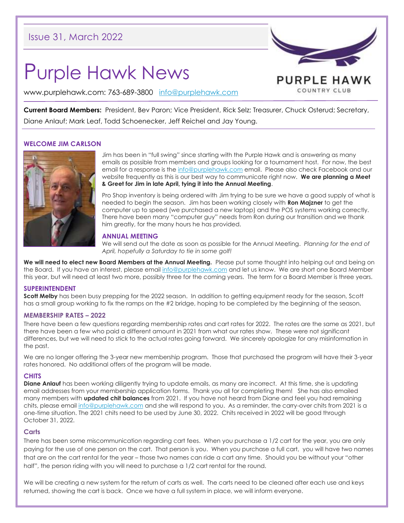# Issue 31, March 2022

# Purple Hawk News

PURPLE HAWK COUNTRY CLUB

www.purplehawk.com: 763-689-3800 [info@purplehawk.com](mailto:info@purplehawk.com)

**Current Board Members:** President, Bev Paron; Vice President, Rick Selz; Treasurer, Chuck Osterud; Secretary, Diane Anlauf; Mark Leaf, Todd Schoenecker, Jeff Reichel and Jay Young.

# **WELCOME JIM CARLSON**



Jim has been in "full swing" since starting with the Purple Hawk and is answering as many emails as possible from members and groups looking for a tournament host. For now, the best email for a response is th[e info@purplehawk.com](mailto:info@purplehawk.com) email. Please also check Facebook and our website frequently as this is our best way to communicate right now. **We are planning a Meet & Greet for Jim in late April, tying it into the Annual Meeting**.

Pro Shop inventory is being ordered with Jim trying to be sure we have a good supply of what is needed to begin the season. Jim has been working closely with **Ron Majzner** to get the computer up to speed (we purchased a new laptop) and the POS systems working correctly. There have been many "computer guy" needs from Ron during our transition and we thank him greatly, for the many hours he has provided.

# **ANNUAL MEETING**

We will send out the date as soon as possible for the Annual Meeting. *Planning for the end of April, hopefully a Saturday to tie in some golf!*

**We will need to elect new Board Members at the Annual Meeting.** Please put some thought into helping out and being on the Board. If you have an interest, please email [info@purplehawk.com](mailto:info@purplehawk.com) and let us know. We are short one Board Member this year, but will need at least two more, possibly three for the coming years. The term for a Board Member is three years.

#### **SUPERINTENDENT**

**Scott Melby** has been busy prepping for the 2022 season. In addition to getting equipment ready for the season, Scott has a small group working to fix the ramps on the #2 bridge, hoping to be completed by the beginning of the season.

#### **MEMBERSHIP RATES – 2022**

There have been a few questions regarding membership rates and cart rates for 2022. The rates are the same as 2021, but there have been a few who paid a different amount in 2021 from what our rates show. These were not significant differences, but we will need to stick to the actual rates going forward. We sincerely apologize for any misinformation in the past.

We are no longer offering the 3-year new membership program. Those that purchased the program will have their 3-year rates honored. No additional offers of the program will be made.

# **CHITS**

**Diane Anlauf** has been working diligently trying to update emails, as many are incorrect. At this time, she is updating email addresses from your membership application forms. Thank you all for completing them! She has also emailed many members with **updated chit balances** from 2021. If you have not heard from Diane and feel you had remaining chits, please email [info@purplehawk.com](mailto:info@purplehawk.com) and she will respond to you. As a reminder, the carry-over chits from 2021 is a one-time situation. The 2021 chits need to be used by June 30, 2022. Chits received in 2022 will be good through October 31, 2022.

# **Carts**

There has been some miscommunication regarding cart fees. When you purchase a 1/2 cart for the year, you are only paying for the use of one person on the cart. That person is you. When you purchase a full cart, you will have two names that are on the cart rental for the year – those two names can ride a cart any time. Should you be without your "other half", the person riding with you will need to purchase a 1/2 cart rental for the round.

We will be creating a new system for the return of carts as well. The carts need to be cleaned after each use and keys returned, showing the cart is back. Once we have a full system in place, we will inform everyone.